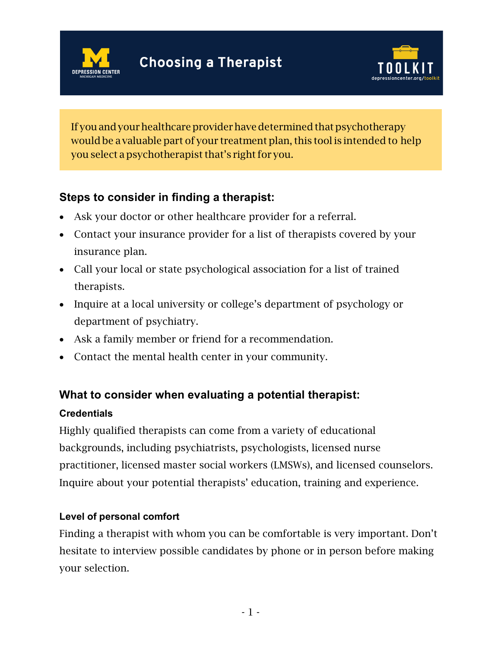



If you and your healthcare provider have determined that psychotherapy would be a valuable part of your treatment plan, this tool is intended to help you select a psychotherapist that's right for you.

# **Steps to consider in finding a therapist:**

- Ask your doctor or other healthcare provider for a referral.
- Contact your insurance provider for a list of therapists covered by your insurance plan.
- Call your local or state psychological association for a list of trained therapists.
- Inquire at a local university or college's department of psychology or department of psychiatry.
- Ask a family member or friend for a recommendation.
- Contact the mental health center in your community.

## **What to consider when evaluating a potential therapist:**

### **Credentials**

Highly qualified therapists can come from a variety of educational backgrounds, including psychiatrists, psychologists, licensed nurse practitioner, licensed master social workers (LMSWs), and licensed counselors. Inquire about your potential therapists' education, training and experience.

### **Level of personal comfort**

Finding a therapist with whom you can be comfortable is very important. Don't hesitate to interview possible candidates by phone or in person before making your selection.